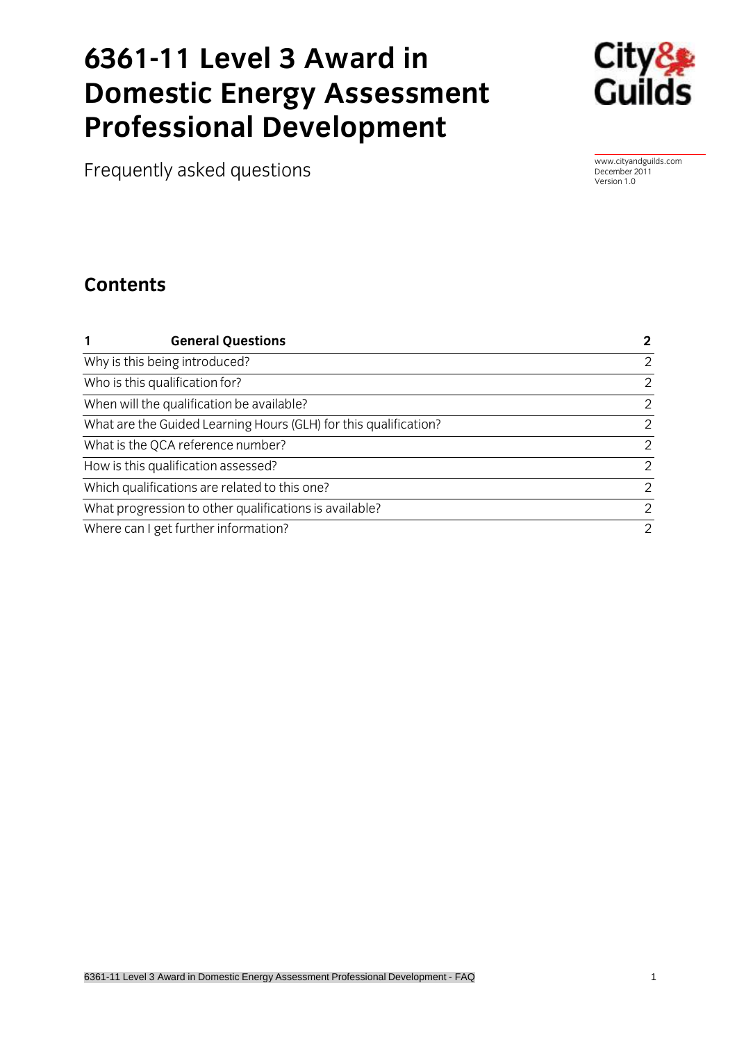# **6361-11 Level 3 Award in Professional Develonment Professional Development**



Frequently asked questions [www.cityandguilds.com](http://www.cityandguilds.com/)

December 2011

### **Contents Contents**

| <b>General Questions</b><br>1                                    | $\mathbf{2}$ |
|------------------------------------------------------------------|--------------|
| Why is this being introduced?                                    | 2            |
| Who is this qualification for?                                   | 2            |
| When will the qualification be available?                        | 2            |
| What are the Guided Learning Hours (GLH) for this qualification? | 2            |
| What is the QCA reference number?                                | 2            |
| How is this qualification assessed?                              | 2            |
| Which qualifications are related to this one?                    | 2            |
| What progression to other qualifications is available?           | 2            |
| Where can I get further information?                             | 2            |